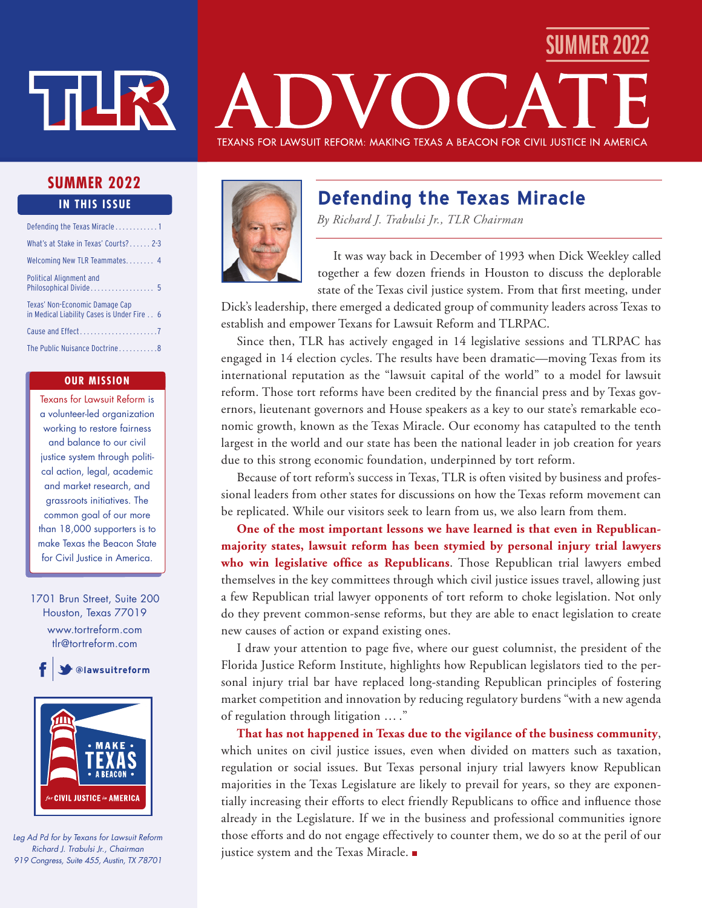# ⊔ות ל

# SUMMER 2022 TEXANS FOR LAWSUIT REFORM: MAKING TEXAS A BEACON FOR CIVIL JUSTICE IN AMERICA

#### **SUMMER 2022 IN THIS ISSUE**

| Defending the Texas Miracle1                                                 |
|------------------------------------------------------------------------------|
| What's at Stake in Texas' Courts? 2-3                                        |
| Welcoming New TLR Teammates 4                                                |
| Political Alignment and<br>Philosophical Divide 5                            |
| Texas' Non-Economic Damage Cap<br>in Medical Liability Cases is Under Fire 6 |
| Cause and Effect7                                                            |
| The Public Nuisance Doctrine8                                                |

#### **OUR MISSION**

Texans for Lawsuit Reform is a volunteer-led organization working to restore fairness and balance to our civil justice system through political action, legal, academic and market research, and grassroots initiatives. The common goal of our more than 18,000 supporters is to make Texas the Beacon State for Civil Justice in America.

1701 Brun Street, Suite 200 Houston, Texas 77019 www.tortreform.com tlr@tortreform.com

**@lawsuitreform**



*Leg Ad Pd for by Texans for Lawsuit Reform Richard J. Trabulsi Jr., Chairman 919 Congress, Suite 455, Austin, TX 78701*



# **Defending the Texas Miracle**

*By Richard J. Trabulsi Jr., TLR Chairman*

It was way back in December of 1993 when Dick Weekley called together a few dozen friends in Houston to discuss the deplorable state of the Texas civil justice system. From that first meeting, under

Dick's leadership, there emerged a dedicated group of community leaders across Texas to establish and empower Texans for Lawsuit Reform and TLRPAC.

Since then, TLR has actively engaged in 14 legislative sessions and TLRPAC has engaged in 14 election cycles. The results have been dramatic—moving Texas from its international reputation as the "lawsuit capital of the world" to a model for lawsuit reform. Those tort reforms have been credited by the financial press and by Texas governors, lieutenant governors and House speakers as a key to our state's remarkable economic growth, known as the Texas Miracle. Our economy has catapulted to the tenth largest in the world and our state has been the national leader in job creation for years due to this strong economic foundation, underpinned by tort reform.

Because of tort reform's success in Texas, TLR is often visited by business and professional leaders from other states for discussions on how the Texas reform movement can be replicated. While our visitors seek to learn from us, we also learn from them.

**One of the most important lessons we have learned is that even in Republicanmajority states, lawsuit reform has been stymied by personal injury trial lawyers who win legislative office as Republicans**. Those Republican trial lawyers embed themselves in the key committees through which civil justice issues travel, allowing just a few Republican trial lawyer opponents of tort reform to choke legislation. Not only do they prevent common-sense reforms, but they are able to enact legislation to create new causes of action or expand existing ones.

I draw your attention to page five, where our guest columnist, the president of the Florida Justice Reform Institute, highlights how Republican legislators tied to the personal injury trial bar have replaced long-standing Republican principles of fostering market competition and innovation by reducing regulatory burdens "with a new agenda of regulation through litigation … ."

**That has not happened in Texas due to the vigilance of the business community**, which unites on civil justice issues, even when divided on matters such as taxation, regulation or social issues. But Texas personal injury trial lawyers know Republican majorities in the Texas Legislature are likely to prevail for years, so they are exponentially increasing their efforts to elect friendly Republicans to office and influence those already in the Legislature. If we in the business and professional communities ignore those efforts and do not engage effectively to counter them, we do so at the peril of our justice system and the Texas Miracle. ■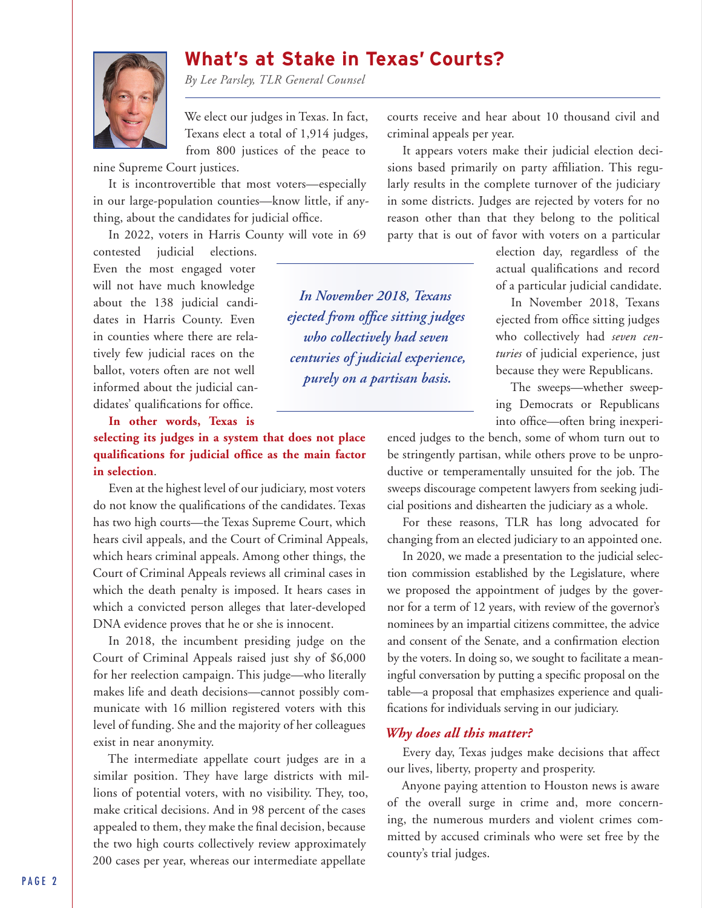# **What's at Stake in Texas' Courts?**

*By Lee Parsley, TLR General Counsel*

We elect our judges in Texas. In fact, Texans elect a total of 1,914 judges, from 800 justices of the peace to

nine Supreme Court justices.

It is incontrovertible that most voters—especially in our large-population counties—know little, if anything, about the candidates for judicial office.

In 2022, voters in Harris County will vote in 69

contested judicial elections. Even the most engaged voter will not have much knowledge about the 138 judicial candidates in Harris County. Even in counties where there are relatively few judicial races on the ballot, voters often are not well informed about the judicial candidates' qualifications for office.

**In other words, Texas is** 

**selecting its judges in a system that does not place qualifications for judicial office as the main factor in selection**.

Even at the highest level of our judiciary, most voters do not know the qualifications of the candidates. Texas has two high courts—the Texas Supreme Court, which hears civil appeals, and the Court of Criminal Appeals, which hears criminal appeals. Among other things, the Court of Criminal Appeals reviews all criminal cases in which the death penalty is imposed. It hears cases in which a convicted person alleges that later-developed DNA evidence proves that he or she is innocent.

In 2018, the incumbent presiding judge on the Court of Criminal Appeals raised just shy of \$6,000 for her reelection campaign. This judge—who literally makes life and death decisions—cannot possibly communicate with 16 million registered voters with this level of funding. She and the majority of her colleagues exist in near anonymity.

The intermediate appellate court judges are in a similar position. They have large districts with millions of potential voters, with no visibility. They, too, make critical decisions. And in 98 percent of the cases appealed to them, they make the final decision, because the two high courts collectively review approximately 200 cases per year, whereas our intermediate appellate

courts receive and hear about 10 thousand civil and criminal appeals per year.

It appears voters make their judicial election decisions based primarily on party affiliation. This regularly results in the complete turnover of the judiciary in some districts. Judges are rejected by voters for no reason other than that they belong to the political party that is out of favor with voters on a particular

*In November 2018, Texans ejected from office sitting judges who collectively had seven centuries of judicial experience, purely on a partisan basis.*

election day, regardless of the actual qualifications and record of a particular judicial candidate.

In November 2018, Texans ejected from office sitting judges who collectively had *seven centuries* of judicial experience, just because they were Republicans.

The sweeps—whether sweeping Democrats or Republicans into office—often bring inexperi-

enced judges to the bench, some of whom turn out to be stringently partisan, while others prove to be unproductive or temperamentally unsuited for the job. The sweeps discourage competent lawyers from seeking judicial positions and dishearten the judiciary as a whole.

For these reasons, TLR has long advocated for changing from an elected judiciary to an appointed one.

In 2020, we made a presentation to the judicial selection commission established by the Legislature, where we proposed the appointment of judges by the governor for a term of 12 years, with review of the governor's nominees by an impartial citizens committee, the advice and consent of the Senate, and a confirmation election by the voters. In doing so, we sought to facilitate a meaningful conversation by putting a specific proposal on the table—a proposal that emphasizes experience and qualifications for individuals serving in our judiciary.

#### *Why does all this matter?*

Every day, Texas judges make decisions that affect our lives, liberty, property and prosperity.

Anyone paying attention to Houston news is aware of the overall surge in crime and, more concerning, the numerous murders and violent crimes committed by accused criminals who were set free by the county's trial judges.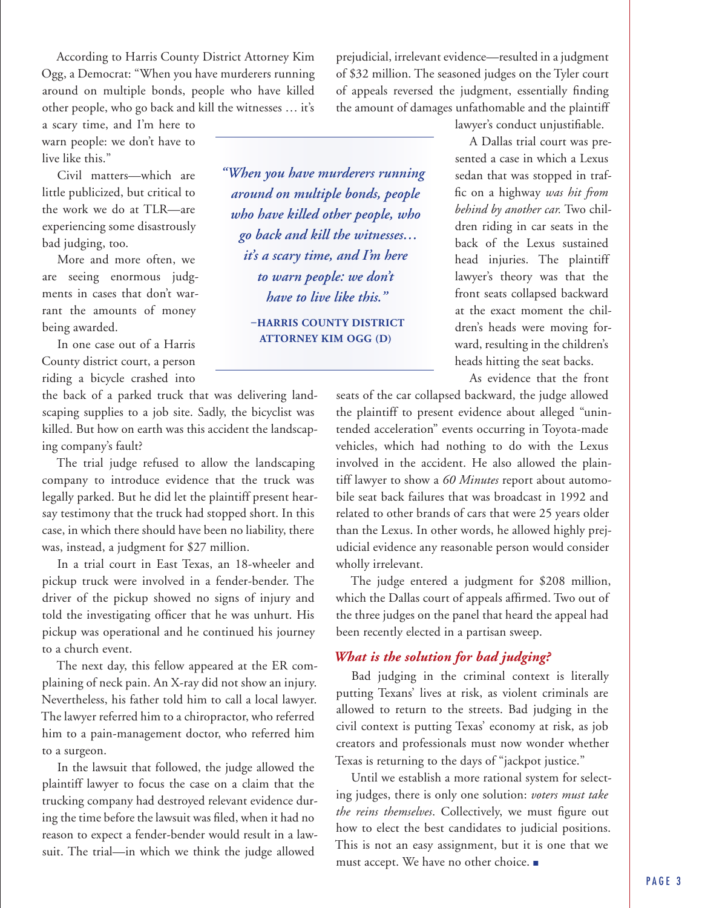According to Harris County District Attorney Kim Ogg, a Democrat: "When you have murderers running around on multiple bonds, people who have killed other people, who go back and kill the witnesses … it's

a scary time, and I'm here to warn people: we don't have to live like this."

Civil matters—which are little publicized, but critical to the work we do at TLR—are experiencing some disastrously bad judging, too.

More and more often, we are seeing enormous judgments in cases that don't warrant the amounts of money being awarded.

In one case out of a Harris County district court, a person riding a bicycle crashed into

the back of a parked truck that was delivering landscaping supplies to a job site. Sadly, the bicyclist was killed. But how on earth was this accident the landscaping company's fault?

The trial judge refused to allow the landscaping company to introduce evidence that the truck was legally parked. But he did let the plaintiff present hearsay testimony that the truck had stopped short. In this case, in which there should have been no liability, there was, instead, a judgment for \$27 million.

In a trial court in East Texas, an 18-wheeler and pickup truck were involved in a fender-bender. The driver of the pickup showed no signs of injury and told the investigating officer that he was unhurt. His pickup was operational and he continued his journey to a church event.

The next day, this fellow appeared at the ER complaining of neck pain. An X-ray did not show an injury. Nevertheless, his father told him to call a local lawyer. The lawyer referred him to a chiropractor, who referred him to a pain-management doctor, who referred him to a surgeon.

In the lawsuit that followed, the judge allowed the plaintiff lawyer to focus the case on a claim that the trucking company had destroyed relevant evidence during the time before the lawsuit was filed, when it had no reason to expect a fender-bender would result in a lawsuit. The trial—in which we think the judge allowed

*"When you have murderers running around on multiple bonds, people who have killed other people, who go back and kill the witnesses… it's a scary time, and I'm here to warn people: we don't have to live like this."* 

> **–HARRIS COUNTY DISTRICT ATTORNEY KIM OGG (D)**

prejudicial, irrelevant evidence—resulted in a judgment of \$32 million. The seasoned judges on the Tyler court of appeals reversed the judgment, essentially finding the amount of damages unfathomable and the plaintiff

lawyer's conduct unjustifiable.

A Dallas trial court was presented a case in which a Lexus sedan that was stopped in traffic on a highway *was hit from behind by another car.* Two children riding in car seats in the back of the Lexus sustained head injuries. The plaintiff lawyer's theory was that the front seats collapsed backward at the exact moment the children's heads were moving forward, resulting in the children's heads hitting the seat backs.

As evidence that the front

seats of the car collapsed backward, the judge allowed the plaintiff to present evidence about alleged "unintended acceleration" events occurring in Toyota-made vehicles, which had nothing to do with the Lexus involved in the accident. He also allowed the plaintiff lawyer to show a *60 Minutes* report about automobile seat back failures that was broadcast in 1992 and related to other brands of cars that were 25 years older than the Lexus. In other words, he allowed highly prejudicial evidence any reasonable person would consider wholly irrelevant.

The judge entered a judgment for \$208 million, which the Dallas court of appeals affirmed. Two out of the three judges on the panel that heard the appeal had been recently elected in a partisan sweep.

#### *What is the solution for bad judging?*

Bad judging in the criminal context is literally putting Texans' lives at risk, as violent criminals are allowed to return to the streets. Bad judging in the civil context is putting Texas' economy at risk, as job creators and professionals must now wonder whether Texas is returning to the days of "jackpot justice."

Until we establish a more rational system for selecting judges, there is only one solution: *voters must take the reins themselves*. Collectively, we must figure out how to elect the best candidates to judicial positions. This is not an easy assignment, but it is one that we must accept. We have no other choice. ■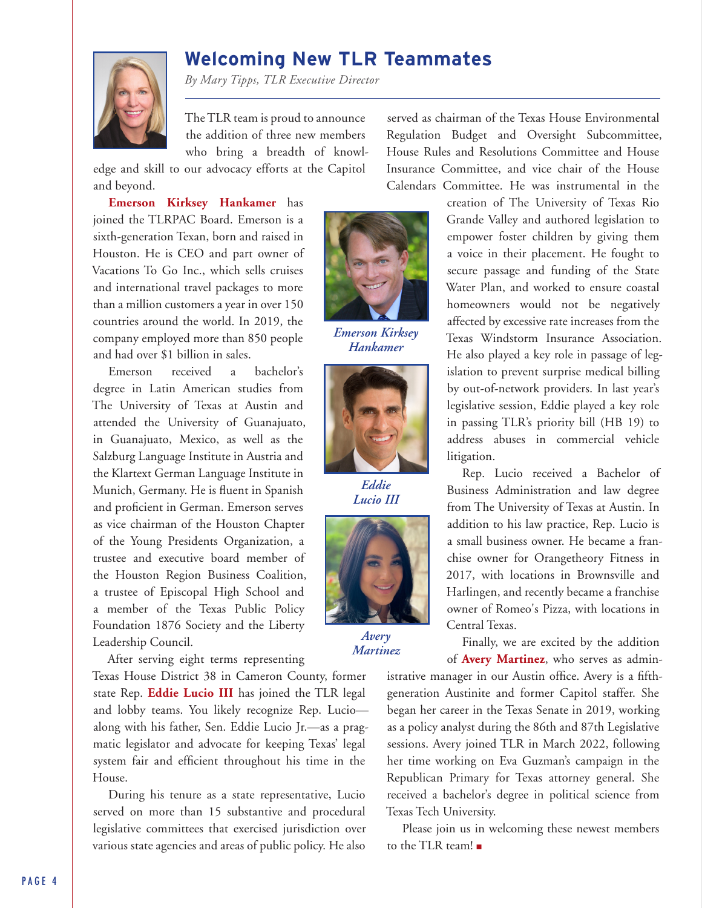# **Welcoming New TLR Teammates**

*By Mary Tipps, TLR Executive Director*

The TLR team is proud to announce the addition of three new members who bring a breadth of knowl-

edge and skill to our advocacy efforts at the Capitol and beyond.

**Emerson Kirksey Hankamer** has joined the TLRPAC Board. Emerson is a sixth-generation Texan, born and raised in Houston. He is CEO and part owner of Vacations To Go Inc., which sells cruises and international travel packages to more than a million customers a year in over 150 countries around the world. In 2019, the company employed more than 850 people and had over \$1 billion in sales.

Emerson received a bachelor's degree in Latin American studies from The University of Texas at Austin and attended the University of Guanajuato, in Guanajuato, Mexico, as well as the Salzburg Language Institute in Austria and the Klartext German Language Institute in Munich, Germany. He is fluent in Spanish and proficient in German. Emerson serves as vice chairman of the Houston Chapter of the Young Presidents Organization, a trustee and executive board member of the Houston Region Business Coalition, a trustee of Episcopal High School and a member of the Texas Public Policy Foundation 1876 Society and the Liberty Leadership Council.

After serving eight terms representing

Texas House District 38 in Cameron County, former state Rep. **Eddie Lucio III** has joined the TLR legal and lobby teams. You likely recognize Rep. Lucio along with his father, Sen. Eddie Lucio Jr.—as a pragmatic legislator and advocate for keeping Texas' legal system fair and efficient throughout his time in the House.

During his tenure as a state representative, Lucio served on more than 15 substantive and procedural legislative committees that exercised jurisdiction over various state agencies and areas of public policy. He also



*Emerson Kirksey Hankamer*



*Eddie Lucio III* 



*Avery Martinez*

served as chairman of the Texas House Environmental Regulation Budget and Oversight Subcommittee, House Rules and Resolutions Committee and House Insurance Committee, and vice chair of the House Calendars Committee. He was instrumental in the

creation of The University of Texas Rio Grande Valley and authored legislation to empower foster children by giving them a voice in their placement. He fought to secure passage and funding of the State Water Plan, and worked to ensure coastal homeowners would not be negatively affected by excessive rate increases from the Texas Windstorm Insurance Association. He also played a key role in passage of legislation to prevent surprise medical billing by out-of-network providers. In last year's legislative session, Eddie played a key role in passing TLR's priority bill (HB 19) to address abuses in commercial vehicle litigation.

Rep. Lucio received a Bachelor of Business Administration and law degree from The University of Texas at Austin. In addition to his law practice, Rep. Lucio is a small business owner. He became a franchise owner for Orangetheory Fitness in 2017, with locations in Brownsville and Harlingen, and recently became a franchise owner of Romeo's Pizza, with locations in Central Texas.

Finally, we are excited by the addition of **Avery Martinez**, who serves as admin-

istrative manager in our Austin office. Avery is a fifthgeneration Austinite and former Capitol staffer. She began her career in the Texas Senate in 2019, working as a policy analyst during the 86th and 87th Legislative sessions. Avery joined TLR in March 2022, following her time working on Eva Guzman's campaign in the Republican Primary for Texas attorney general. She received a bachelor's degree in political science from Texas Tech University.

Please join us in welcoming these newest members to the TLR team! ■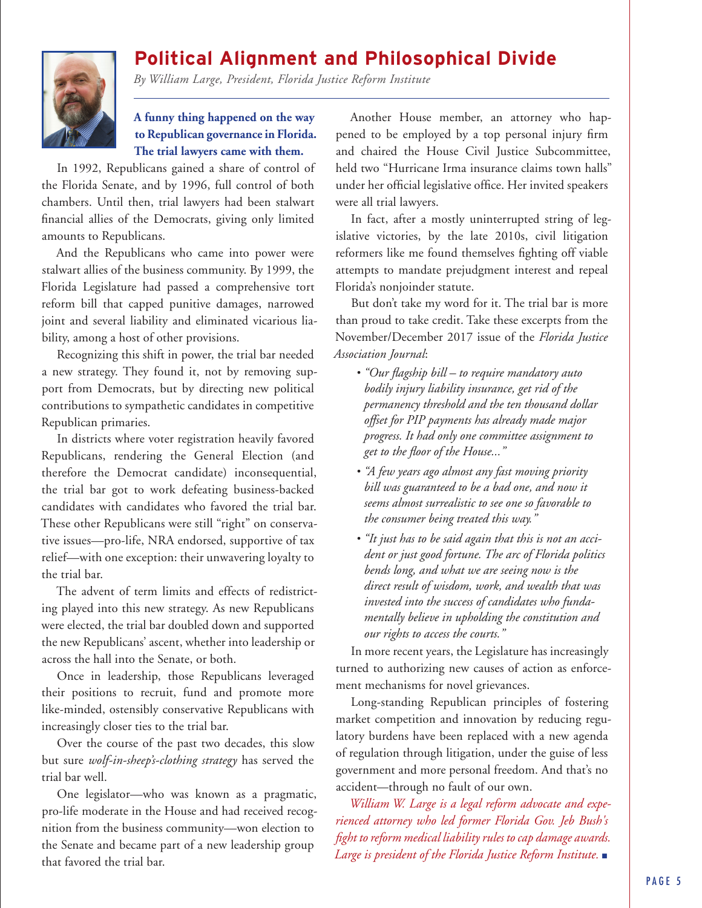# **Political Alignment and Philosophical Divide**

*By William Large, President, Florida Justice Reform Institute*

#### **A funny thing happened on the way to Republican governance in Florida. The trial lawyers came with them.**

In 1992, Republicans gained a share of control of the Florida Senate, and by 1996, full control of both chambers. Until then, trial lawyers had been stalwart financial allies of the Democrats, giving only limited amounts to Republicans.

And the Republicans who came into power were stalwart allies of the business community. By 1999, the Florida Legislature had passed a comprehensive tort reform bill that capped punitive damages, narrowed joint and several liability and eliminated vicarious liability, among a host of other provisions.

Recognizing this shift in power, the trial bar needed a new strategy. They found it, not by removing support from Democrats, but by directing new political contributions to sympathetic candidates in competitive Republican primaries.

In districts where voter registration heavily favored Republicans, rendering the General Election (and therefore the Democrat candidate) inconsequential, the trial bar got to work defeating business-backed candidates with candidates who favored the trial bar. These other Republicans were still "right" on conservative issues—pro-life, NRA endorsed, supportive of tax relief—with one exception: their unwavering loyalty to the trial bar.

The advent of term limits and effects of redistricting played into this new strategy. As new Republicans were elected, the trial bar doubled down and supported the new Republicans' ascent, whether into leadership or across the hall into the Senate, or both.

Once in leadership, those Republicans leveraged their positions to recruit, fund and promote more like-minded, ostensibly conservative Republicans with increasingly closer ties to the trial bar.

Over the course of the past two decades, this slow but sure *wolf-in-sheep's-clothing strategy* has served the trial bar well.

One legislator—who was known as a pragmatic, pro-life moderate in the House and had received recognition from the business community—won election to the Senate and became part of a new leadership group that favored the trial bar.

Another House member, an attorney who happened to be employed by a top personal injury firm and chaired the House Civil Justice Subcommittee, held two "Hurricane Irma insurance claims town halls" under her official legislative office. Her invited speakers were all trial lawyers.

In fact, after a mostly uninterrupted string of legislative victories, by the late 2010s, civil litigation reformers like me found themselves fighting off viable attempts to mandate prejudgment interest and repeal Florida's nonjoinder statute.

But don't take my word for it. The trial bar is more than proud to take credit. Take these excerpts from the November/December 2017 issue of the *Florida Justice Association Journal*:

- *"Our flagship bill to require mandatory auto bodily injury liability insurance, get rid of the permanency threshold and the ten thousand dollar offset for PIP payments has already made major progress. It had only one committee assignment to get to the floor of the House..."*
- *"A few years ago almost any fast moving priority bill was guaranteed to be a bad one, and now it seems almost surrealistic to see one so favorable to the consumer being treated this way."*
- *"It just has to be said again that this is not an accident or just good fortune. The arc of Florida politics bends long, and what we are seeing now is the direct result of wisdom, work, and wealth that was invested into the success of candidates who fundamentally believe in upholding the constitution and our rights to access the courts."*

In more recent years, the Legislature has increasingly turned to authorizing new causes of action as enforcement mechanisms for novel grievances.

Long-standing Republican principles of fostering market competition and innovation by reducing regulatory burdens have been replaced with a new agenda of regulation through litigation, under the guise of less government and more personal freedom. And that's no accident—through no fault of our own.

*William W. Large is a legal reform advocate and experienced attorney who led former Florida Gov. Jeb Bush's fight to reform medical liability rules to cap damage awards. Large is president of the Florida Justice Reform Institute.* ■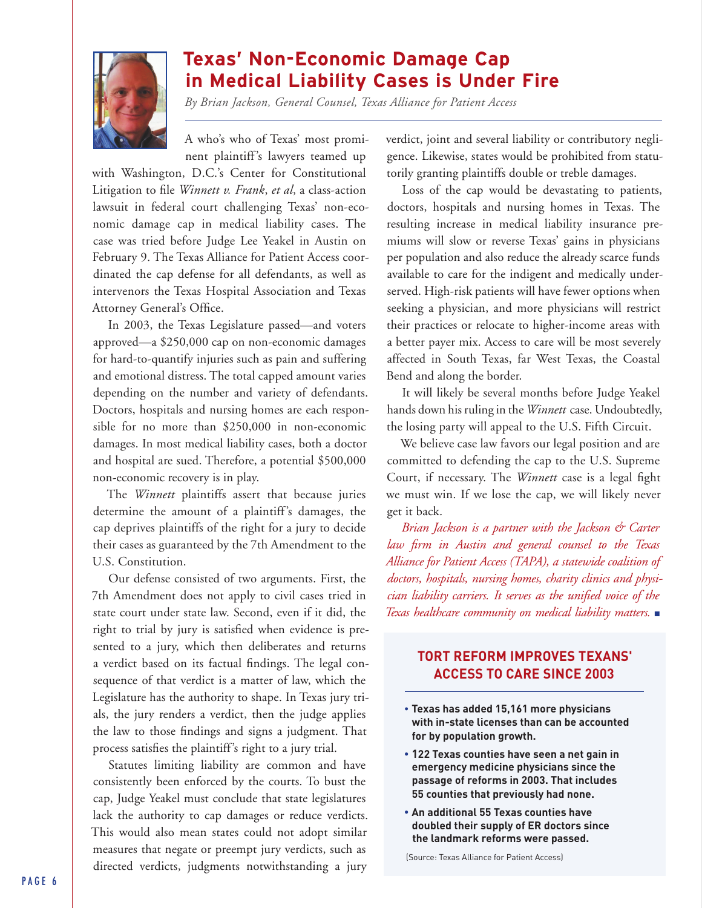

# **Texas' Non-Economic Damage Cap in Medical Liability Cases is Under Fire**

*By Brian Jackson, General Counsel, Texas Alliance for Patient Access*

A who's who of Texas' most prominent plaintiff's lawyers teamed up

with Washington, D.C.'s Center for Constitutional Litigation to file *Winnett v. Frank*, *et al*, a class-action lawsuit in federal court challenging Texas' non-economic damage cap in medical liability cases. The case was tried before Judge Lee Yeakel in Austin on February 9. The Texas Alliance for Patient Access coordinated the cap defense for all defendants, as well as intervenors the Texas Hospital Association and Texas Attorney General's Office.

In 2003, the Texas Legislature passed—and voters approved—a \$250,000 cap on non-economic damages for hard-to-quantify injuries such as pain and suffering and emotional distress. The total capped amount varies depending on the number and variety of defendants. Doctors, hospitals and nursing homes are each responsible for no more than \$250,000 in non-economic damages. In most medical liability cases, both a doctor and hospital are sued. Therefore, a potential \$500,000 non-economic recovery is in play.

The *Winnett* plaintiffs assert that because juries determine the amount of a plaintiff's damages, the cap deprives plaintiffs of the right for a jury to decide their cases as guaranteed by the 7th Amendment to the U.S. Constitution.

Our defense consisted of two arguments. First, the 7th Amendment does not apply to civil cases tried in state court under state law. Second, even if it did, the right to trial by jury is satisfied when evidence is presented to a jury, which then deliberates and returns a verdict based on its factual findings. The legal consequence of that verdict is a matter of law, which the Legislature has the authority to shape. In Texas jury trials, the jury renders a verdict, then the judge applies the law to those findings and signs a judgment. That process satisfies the plaintiff's right to a jury trial.

Statutes limiting liability are common and have consistently been enforced by the courts. To bust the cap, Judge Yeakel must conclude that state legislatures lack the authority to cap damages or reduce verdicts. This would also mean states could not adopt similar measures that negate or preempt jury verdicts, such as directed verdicts, judgments notwithstanding a jury

verdict, joint and several liability or contributory negligence. Likewise, states would be prohibited from statutorily granting plaintiffs double or treble damages.

Loss of the cap would be devastating to patients, doctors, hospitals and nursing homes in Texas. The resulting increase in medical liability insurance premiums will slow or reverse Texas' gains in physicians per population and also reduce the already scarce funds available to care for the indigent and medically underserved. High-risk patients will have fewer options when seeking a physician, and more physicians will restrict their practices or relocate to higher-income areas with a better payer mix. Access to care will be most severely affected in South Texas, far West Texas, the Coastal Bend and along the border.

It will likely be several months before Judge Yeakel hands down his ruling in the *Winnett* case. Undoubtedly, the losing party will appeal to the U.S. Fifth Circuit.

We believe case law favors our legal position and are committed to defending the cap to the U.S. Supreme Court, if necessary. The *Winnett* case is a legal fight we must win. If we lose the cap, we will likely never get it back.

*Brian Jackson is a partner with the Jackson & Carter law firm in Austin and general counsel to the Texas Alliance for Patient Access (TAPA), a statewide coalition of doctors, hospitals, nursing homes, charity clinics and physician liability carriers. It serves as the unified voice of the Texas healthcare community on medical liability matters.* ■

#### **TORT REFORM IMPROVES TEXANS' ACCESS TO CARE SINCE 2003**

- **Texas has added 15,161 more physicians with in-state licenses than can be accounted for by population growth.**
- • **122 Texas counties have seen a net gain in emergency medicine physicians since the passage of reforms in 2003. That includes 55 counties that previously had none.**
- **An additional 55 Texas counties have doubled their supply of ER doctors since the landmark reforms were passed.**

(Source: Texas Alliance for Patient Access)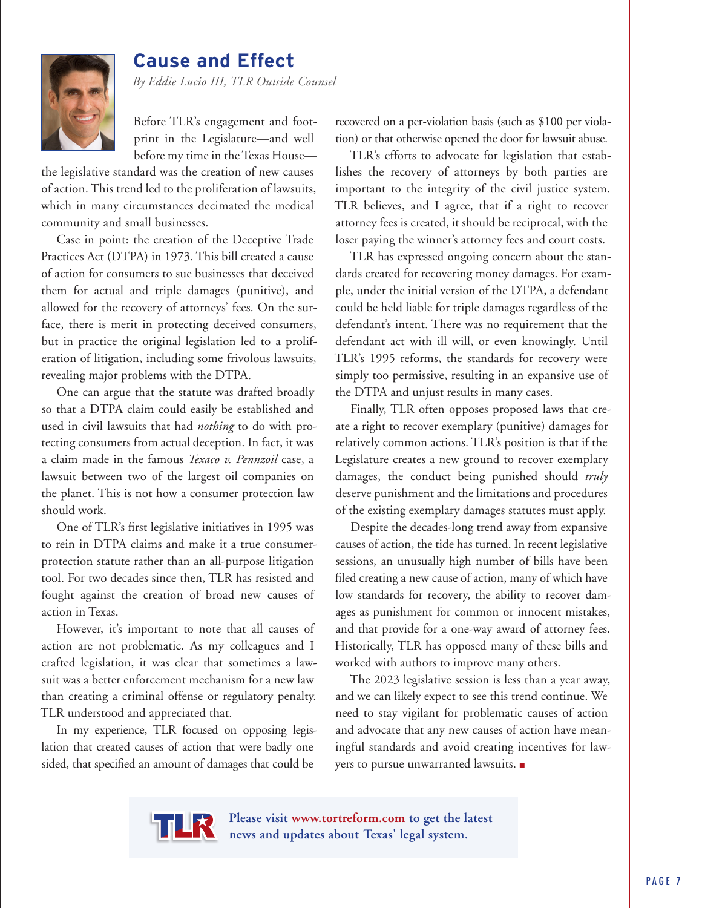

# **Cause and Effect**

*By Eddie Lucio III, TLR Outside Counsel*

Before TLR's engagement and footprint in the Legislature—and well before my time in the Texas House—

the legislative standard was the creation of new causes of action. This trend led to the proliferation of lawsuits, which in many circumstances decimated the medical community and small businesses.

Case in point: the creation of the Deceptive Trade Practices Act (DTPA) in 1973. This bill created a cause of action for consumers to sue businesses that deceived them for actual and triple damages (punitive), and allowed for the recovery of attorneys' fees. On the surface, there is merit in protecting deceived consumers, but in practice the original legislation led to a proliferation of litigation, including some frivolous lawsuits, revealing major problems with the DTPA.

One can argue that the statute was drafted broadly so that a DTPA claim could easily be established and used in civil lawsuits that had *nothing* to do with protecting consumers from actual deception. In fact, it was a claim made in the famous *Texaco v. Pennzoil* case, a lawsuit between two of the largest oil companies on the planet. This is not how a consumer protection law should work.

One of TLR's first legislative initiatives in 1995 was to rein in DTPA claims and make it a true consumerprotection statute rather than an all-purpose litigation tool. For two decades since then, TLR has resisted and fought against the creation of broad new causes of action in Texas.

However, it's important to note that all causes of action are not problematic. As my colleagues and I crafted legislation, it was clear that sometimes a lawsuit was a better enforcement mechanism for a new law than creating a criminal offense or regulatory penalty. TLR understood and appreciated that.

In my experience, TLR focused on opposing legislation that created causes of action that were badly one sided, that specified an amount of damages that could be

recovered on a per-violation basis (such as \$100 per violation) or that otherwise opened the door for lawsuit abuse.

TLR's efforts to advocate for legislation that establishes the recovery of attorneys by both parties are important to the integrity of the civil justice system. TLR believes, and I agree, that if a right to recover attorney fees is created, it should be reciprocal, with the loser paying the winner's attorney fees and court costs.

TLR has expressed ongoing concern about the standards created for recovering money damages. For example, under the initial version of the DTPA, a defendant could be held liable for triple damages regardless of the defendant's intent. There was no requirement that the defendant act with ill will, or even knowingly. Until TLR's 1995 reforms, the standards for recovery were simply too permissive, resulting in an expansive use of the DTPA and unjust results in many cases.

Finally, TLR often opposes proposed laws that create a right to recover exemplary (punitive) damages for relatively common actions. TLR's position is that if the Legislature creates a new ground to recover exemplary damages, the conduct being punished should *truly*  deserve punishment and the limitations and procedures of the existing exemplary damages statutes must apply.

Despite the decades-long trend away from expansive causes of action, the tide has turned. In recent legislative sessions, an unusually high number of bills have been filed creating a new cause of action, many of which have low standards for recovery, the ability to recover damages as punishment for common or innocent mistakes, and that provide for a one-way award of attorney fees. Historically, TLR has opposed many of these bills and worked with authors to improve many others.

The 2023 legislative session is less than a year away, and we can likely expect to see this trend continue. We need to stay vigilant for problematic causes of action and advocate that any new causes of action have meaningful standards and avoid creating incentives for lawyers to pursue unwarranted lawsuits. ■



**Please visit www.tortreform.com to get the latest news and updates about Texas' legal system.**